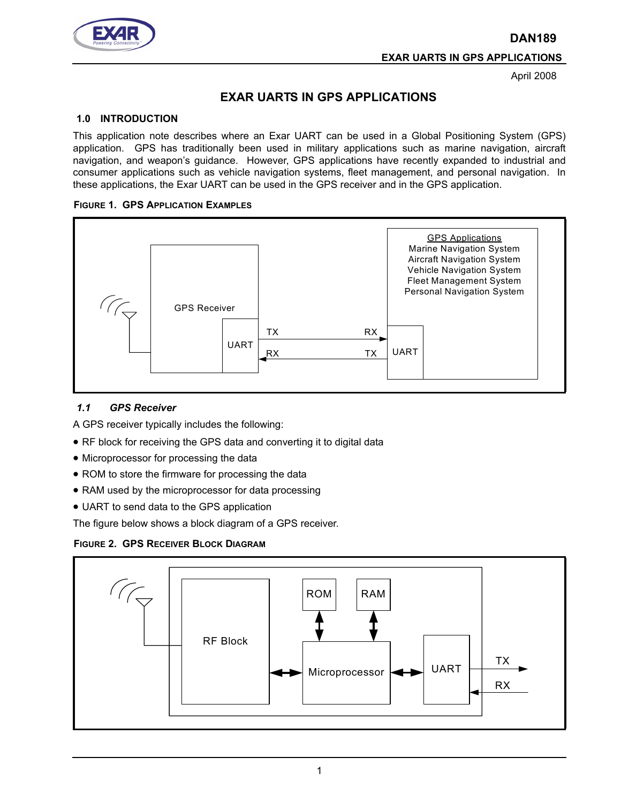**DAN189**



**EXAR UARTS IN GPS APPLICATIONS**

April 2008

# **EXAR UARTS IN GPS APPLICATIONS**

## **1.0 INTRODUCTION**

This application note describes where an Exar UART can be used in a Global Positioning System (GPS) application. GPS has traditionally been used in military applications such as marine navigation, aircraft navigation, and weapon's guidance. However, GPS applications have recently expanded to industrial and consumer applications such as vehicle navigation systems, fleet management, and personal navigation. In these applications, the Exar UART can be used in the GPS receiver and in the GPS application.

#### **FIGURE 1. GPS APPLICATION EXAMPLES**



#### *1.1 GPS Receiver*

A GPS receiver typically includes the following:

- RF block for receiving the GPS data and converting it to digital data
- Microprocessor for processing the data
- ROM to store the firmware for processing the data
- RAM used by the microprocessor for data processing
- UART to send data to the GPS application

The figure below shows a block diagram of a GPS receiver.



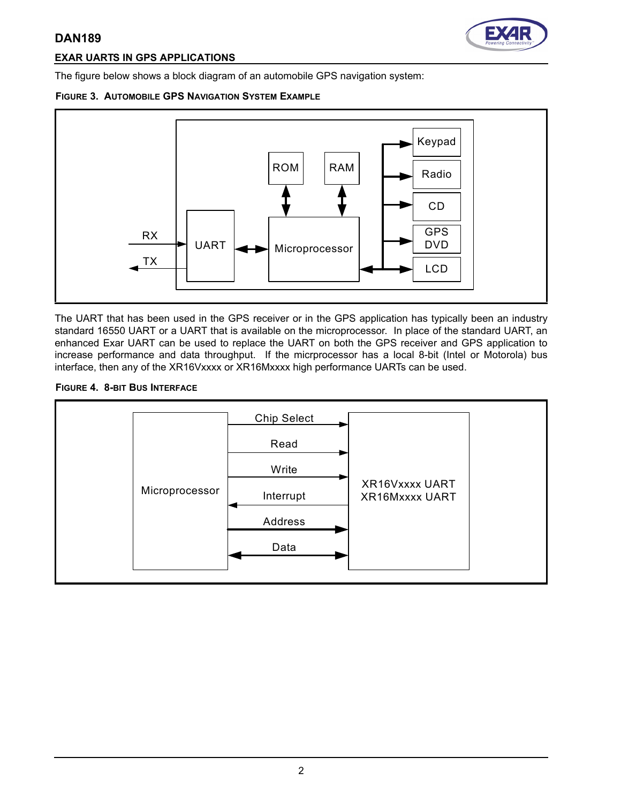## **DAN189**



## **EXAR UARTS IN GPS APPLICATIONS**

The figure below shows a block diagram of an automobile GPS navigation system:





The UART that has been used in the GPS receiver or in the GPS application has typically been an industry standard 16550 UART or a UART that is available on the microprocessor. In place of the standard UART, an enhanced Exar UART can be used to replace the UART on both the GPS receiver and GPS application to increase performance and data throughput. If the micrprocessor has a local 8-bit (Intel or Motorola) bus interface, then any of the XR16Vxxxx or XR16Mxxxx high performance UARTs can be used.

#### **FIGURE 4. 8-BIT BUS INTERFACE**

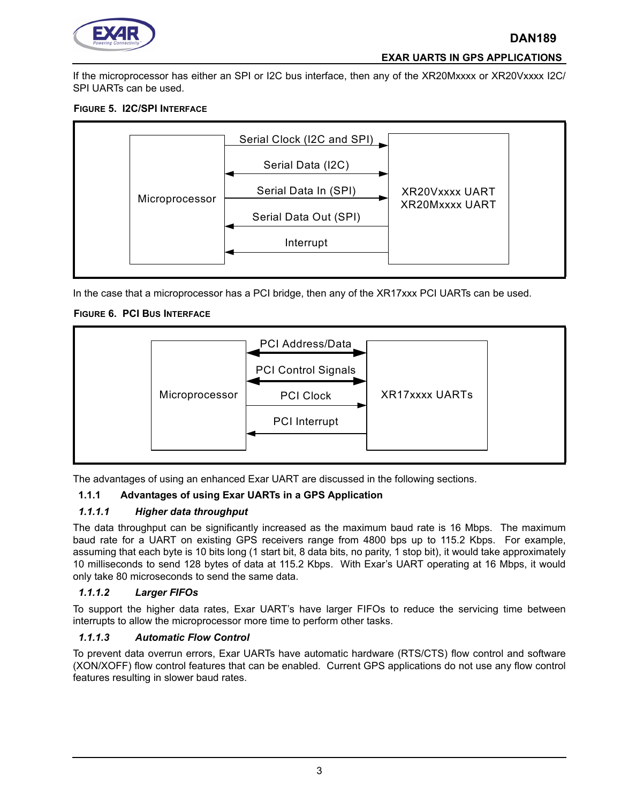

#### **EXAR UARTS IN GPS APPLICATIONS**

If the microprocessor has either an SPI or I2C bus interface, then any of the XR20Mxxxx or XR20Vxxxx I2C/ SPI UARTs can be used.

## **FIGURE 5. I2C/SPI INTERFACE**



In the case that a microprocessor has a PCI bridge, then any of the XR17xxx PCI UARTs can be used.

#### **FIGURE 6. PCI BUS INTERFACE**



The advantages of using an enhanced Exar UART are discussed in the following sections.

## **1.1.1 Advantages of using Exar UARTs in a GPS Application**

#### *1.1.1.1 Higher data throughput*

The data throughput can be significantly increased as the maximum baud rate is 16 Mbps. The maximum baud rate for a UART on existing GPS receivers range from 4800 bps up to 115.2 Kbps. For example, assuming that each byte is 10 bits long (1 start bit, 8 data bits, no parity, 1 stop bit), it would take approximately 10 milliseconds to send 128 bytes of data at 115.2 Kbps. With Exar's UART operating at 16 Mbps, it would only take 80 microseconds to send the same data.

#### *1.1.1.2 Larger FIFOs*

To support the higher data rates, Exar UART's have larger FIFOs to reduce the servicing time between interrupts to allow the microprocessor more time to perform other tasks.

#### *1.1.1.3 Automatic Flow Control*

To prevent data overrun errors, Exar UARTs have automatic hardware (RTS/CTS) flow control and software (XON/XOFF) flow control features that can be enabled. Current GPS applications do not use any flow control features resulting in slower baud rates.